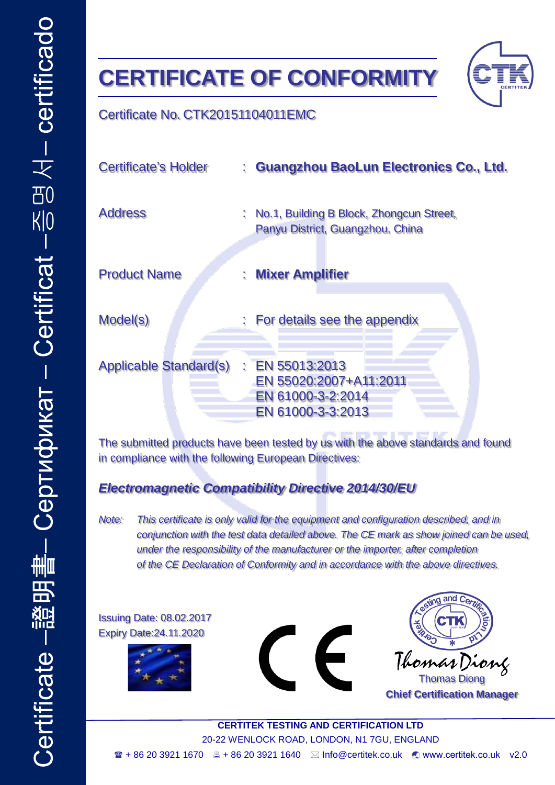# **CERTIFICATE OF CONFORMITY**



#### Certificate No. CTK20151104011EMC

| <b>Certificate's Holder</b>   |    | : Guangzhou BaoLun Electronics Co., Ltd.                                                       |
|-------------------------------|----|------------------------------------------------------------------------------------------------|
| <b>Address</b>                | t. | No.1, Building B Block, Zhongcun Street,<br>Panyu District, Guangzhou, China                   |
| <b>Product Name</b>           | t. | <b>Mixer Amplifier</b>                                                                         |
| Model(s)                      |    | : For details see the appendix                                                                 |
| <b>Applicable Standard(s)</b> |    | $\therefore$ EN 55013:2013<br>EN 55020:2007+A11:2011<br>EN 61000-3-2:2014<br>EN 61000-3-3:2013 |

The submitted products have been tested by us with the above standards and found in compliance with the following European Directives:

### *Electromagnetic Compatibility Directive 2014/30/EU*

*Note: This certificate is only valid for the equipment and configuration described, and in conjunction with the test data detailed above. The CE mark as show joined can be used, under the responsibility of the manufacturer or the importer, after completion of the CE Declaration of Conformity and in accordance with the above directives.*

Issuing Date: 08.02.2017 Expiry Date:24.11.2020







Thomas Diong **Chief Certification Manager**

**CERTITEK TESTING AND CERTIFICATION LTD** 20-22 WENLOCK ROAD, LONDON, N1 7GU, ENGLAND  $\textbf{a}$  + 86 20 3921 1670 **■ + 86 20 3921 1640**  $\textbf{a}$  **Info@certitek.co.uk**  $\textbf{c}$  **[www.certitek.co.uk](http://www.certitek.co.uk/) v2.0**